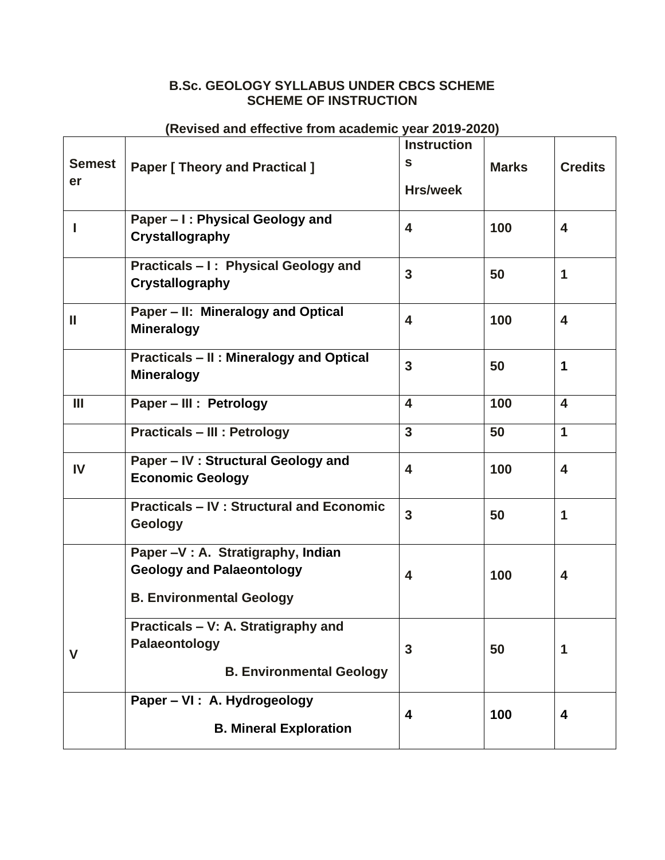## **B.Sc. GEOLOGY SYLLABUS UNDER CBCS SCHEME SCHEME OF INSTRUCTION**

## **(Revised and effective from academic year 2019-2020)**

|                     |                                                 | <b>Instruction</b>      |              |                         |
|---------------------|-------------------------------------------------|-------------------------|--------------|-------------------------|
| <b>Semest</b><br>er | <b>Paper [ Theory and Practical ]</b>           | $\mathbf{s}$            | <b>Marks</b> | <b>Credits</b>          |
|                     |                                                 | <b>Hrs/week</b>         |              |                         |
|                     | Paper - I: Physical Geology and                 | $\overline{\mathbf{4}}$ | 100          | 4                       |
|                     | Crystallography                                 |                         |              |                         |
|                     | Practicals - I: Physical Geology and            | $\overline{3}$          | 50           | $\mathbf 1$             |
|                     | <b>Crystallography</b>                          |                         |              |                         |
| Ш                   | Paper - II: Mineralogy and Optical              | 4                       | 100          | $\overline{\mathbf{4}}$ |
|                     | <b>Mineralogy</b>                               |                         |              |                         |
|                     | <b>Practicals - II: Mineralogy and Optical</b>  | $\overline{3}$          | 50           | $\mathbf 1$             |
|                     | <b>Mineralogy</b>                               |                         |              |                         |
| Ш                   | Paper - III : Petrology                         | $\overline{\mathbf{4}}$ | 100          | $\overline{\mathbf{4}}$ |
|                     | <b>Practicals - III : Petrology</b>             | $\overline{3}$          | 50           | $\mathbf{1}$            |
| IV                  | Paper - IV : Structural Geology and             | $\overline{\mathbf{4}}$ | 100          | $\overline{\mathbf{4}}$ |
|                     | <b>Economic Geology</b>                         |                         |              |                         |
|                     | <b>Practicals - IV: Structural and Economic</b> | $\overline{3}$          | 50           | 1                       |
|                     | Geology                                         |                         |              |                         |
|                     | Paper -V : A. Stratigraphy, Indian              |                         |              |                         |
|                     | <b>Geology and Palaeontology</b>                | $\overline{\mathbf{4}}$ | 100          | $\overline{\mathbf{4}}$ |
|                     | <b>B. Environmental Geology</b>                 |                         |              |                         |
|                     | Practicals - V: A. Stratigraphy and             |                         |              |                         |
| $\mathbf V$         | Palaeontology                                   | 3                       | 50           | 1                       |
|                     | <b>B. Environmental Geology</b>                 |                         |              |                         |
|                     | Paper - VI : A. Hydrogeology                    |                         |              |                         |
|                     | <b>B. Mineral Exploration</b>                   | 4                       | 100          | 4                       |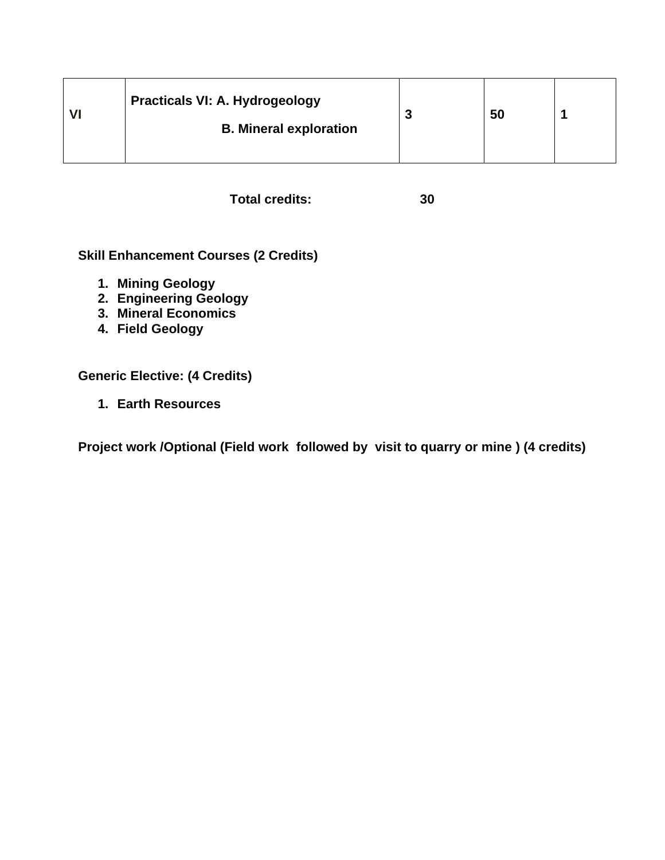| <b>Practicals VI: A. Hydrogeology</b><br><b>B. Mineral exploration</b> | я<br>w | 50 |  |
|------------------------------------------------------------------------|--------|----|--|
|                                                                        |        |    |  |

**Total credits: 30**

**Skill Enhancement Courses (2 Credits)**

- **1. Mining Geology**
- **2. Engineering Geology**
- **3. Mineral Economics**
- **4. Field Geology**

**Generic Elective: (4 Credits)**

**1. Earth Resources**

**Project work /Optional (Field work followed by visit to quarry or mine ) (4 credits)**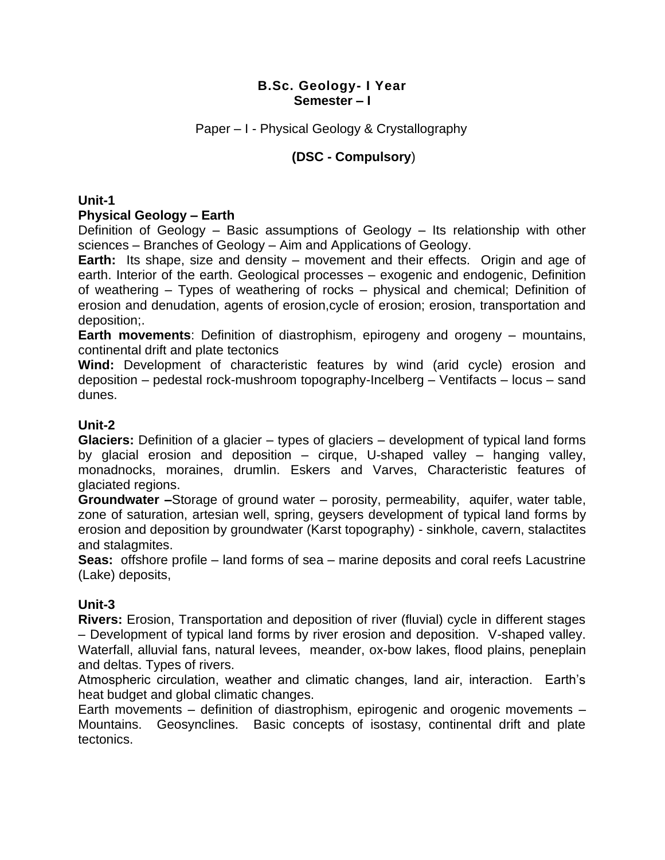Paper – I - Physical Geology & Crystallography

## **(DSC - Compulsory**)

**Unit-1**

## **Physical Geology – Earth**

Definition of Geology – Basic assumptions of Geology – Its relationship with other sciences – Branches of Geology – Aim and Applications of Geology.

**Earth:** Its shape, size and density – movement and their effects. Origin and age of earth. Interior of the earth. Geological processes – exogenic and endogenic, Definition of weathering – Types of weathering of rocks – physical and chemical; Definition of erosion and denudation, agents of erosion,cycle of erosion; erosion, transportation and deposition;.

**Earth movements**: Definition of diastrophism, epirogeny and orogeny – mountains, continental drift and plate tectonics

**Wind:** Development of characteristic features by wind (arid cycle) erosion and deposition – pedestal rock-mushroom topography-Incelberg – Ventifacts – locus – sand dunes.

## **Unit-2**

**Glaciers:** Definition of a glacier – types of glaciers – development of typical land forms by glacial erosion and deposition – cirque, U-shaped valley – hanging valley, monadnocks, moraines, drumlin. Eskers and Varves, Characteristic features of glaciated regions.

**Groundwater –**Storage of ground water – porosity, permeability, aquifer, water table, zone of saturation, artesian well, spring, geysers development of typical land forms by erosion and deposition by groundwater (Karst topography) - sinkhole, cavern, stalactites and stalagmites.

**Seas:** offshore profile – land forms of sea – marine deposits and coral reefs Lacustrine (Lake) deposits,

## **Unit-3**

**Rivers:** Erosion, Transportation and deposition of river (fluvial) cycle in different stages – Development of typical land forms by river erosion and deposition. V-shaped valley. Waterfall, alluvial fans, natural levees, meander, ox-bow lakes, flood plains, peneplain and deltas. Types of rivers.

Atmospheric circulation, weather and climatic changes, land air, interaction. Earth's heat budget and global climatic changes.

Earth movements – definition of diastrophism, epirogenic and orogenic movements – Mountains. Geosynclines. Basic concepts of isostasy, continental drift and plate tectonics.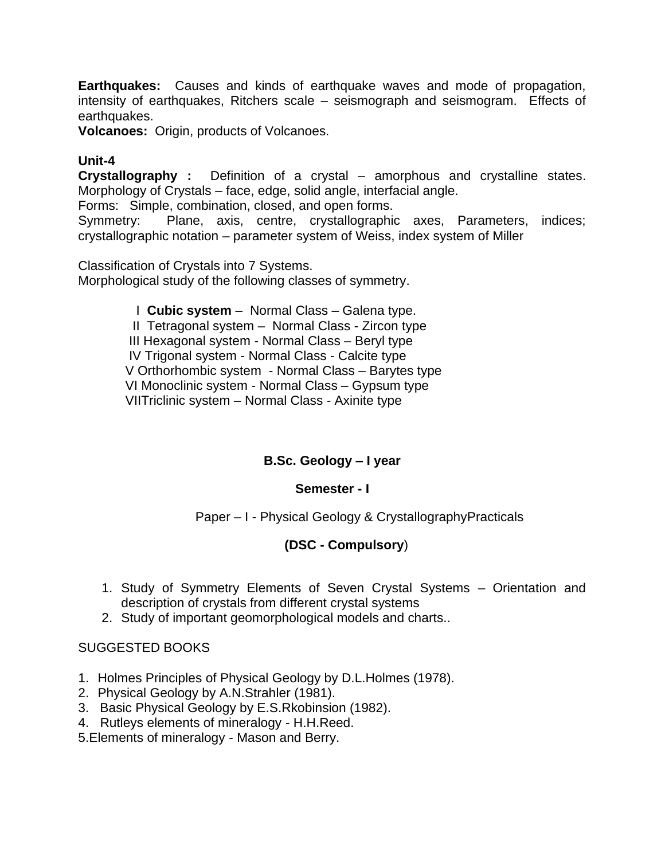**Earthquakes:** Causes and kinds of earthquake waves and mode of propagation, intensity of earthquakes, Ritchers scale – seismograph and seismogram. Effects of earthquakes.

**Volcanoes:** Origin, products of Volcanoes.

## **Unit-4**

**Crystallography :** Definition of a crystal – amorphous and crystalline states. Morphology of Crystals – face, edge, solid angle, interfacial angle.

Forms: Simple, combination, closed, and open forms.

Symmetry: Plane, axis, centre, crystallographic axes, Parameters, indices; crystallographic notation – parameter system of Weiss, index system of Miller

Classification of Crystals into 7 Systems. Morphological study of the following classes of symmetry.

> I **Cubic system** – Normal Class – Galena type. II Tetragonal system – Normal Class - Zircon type III Hexagonal system - Normal Class – Beryl type IV Trigonal system - Normal Class - Calcite type V Orthorhombic system - Normal Class – Barytes type VI Monoclinic system - Normal Class – Gypsum type VIITriclinic system – Normal Class - Axinite type

## **B.Sc. Geology – I year**

## **Semester - I**

Paper – I - Physical Geology & CrystallographyPracticals

## **(DSC - Compulsory**)

- 1. Study of Symmetry Elements of Seven Crystal Systems Orientation and description of crystals from different crystal systems
- 2. Study of important geomorphological models and charts..

- 1. Holmes Principles of Physical Geology by D.L.Holmes (1978).
- 2. Physical Geology by A.N.Strahler (1981).
- 3. Basic Physical Geology by E.S.Rkobinsion (1982).
- 4. Rutleys elements of mineralogy H.H.Reed.
- 5.Elements of mineralogy Mason and Berry.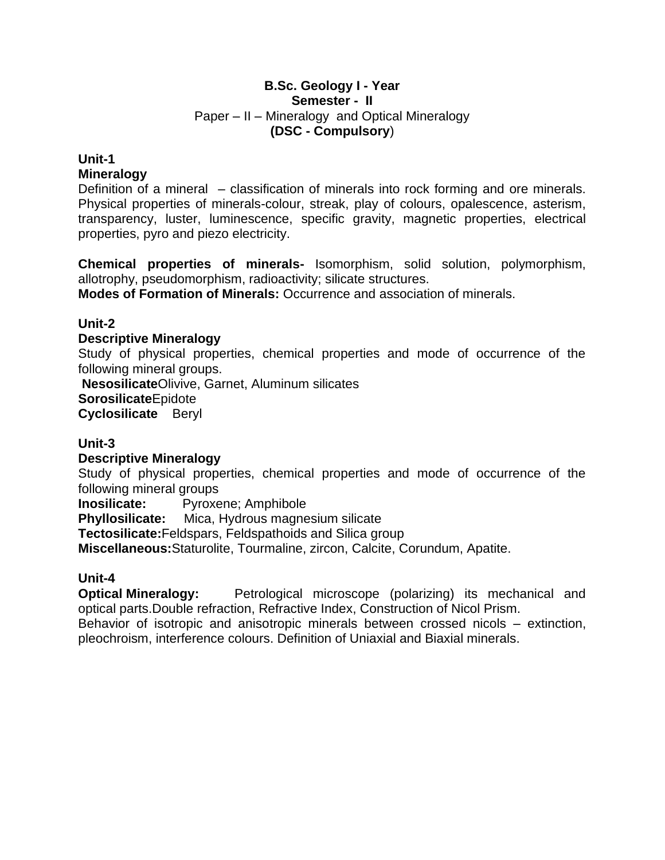### **B.Sc. Geology I - Year Semester - II** Paper – II – Mineralogy and Optical Mineralogy **(DSC - Compulsory**)

### **Unit-1 Mineralogy**

Definition of a mineral – classification of minerals into rock forming and ore minerals. Physical properties of minerals-colour, streak, play of colours, opalescence, asterism, transparency, luster, luminescence, specific gravity, magnetic properties, electrical properties, pyro and piezo electricity.

**Chemical properties of minerals-** Isomorphism, solid solution, polymorphism, allotrophy, pseudomorphism, radioactivity; silicate structures.

**Modes of Formation of Minerals:** Occurrence and association of minerals.

## **Unit-2**

## **Descriptive Mineralogy**

Study of physical properties, chemical properties and mode of occurrence of the following mineral groups.

**Nesosilicate**Olivive, Garnet, Aluminum silicates **Sorosilicate**Epidote **Cyclosilicate** Beryl

## **Unit-3**

## **Descriptive Mineralogy**

Study of physical properties, chemical properties and mode of occurrence of the following mineral groups

**Inosilicate:** Pyroxene; Amphibole

**Phyllosilicate:** Mica, Hydrous magnesium silicate

**Tectosilicate:**Feldspars, Feldspathoids and Silica group

**Miscellaneous:**Staturolite, Tourmaline, zircon, Calcite, Corundum, Apatite.

## **Unit-4**

**Optical Mineralogy:** Petrological microscope (polarizing) its mechanical and optical parts.Double refraction, Refractive Index, Construction of Nicol Prism. Behavior of isotropic and anisotropic minerals between crossed nicols – extinction,

pleochroism, interference colours. Definition of Uniaxial and Biaxial minerals.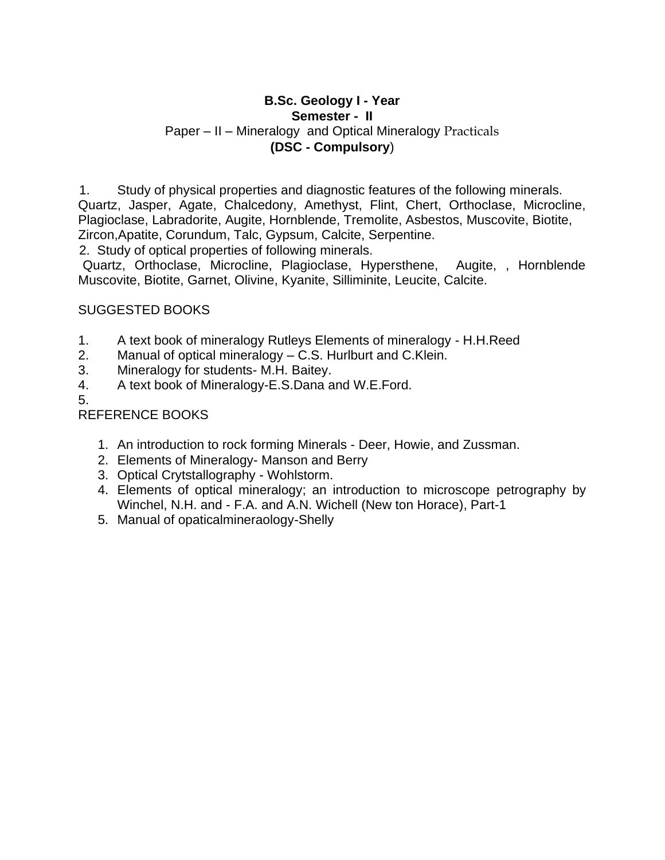## **B.Sc. Geology I - Year Semester - II** Paper – II – Mineralogy and Optical Mineralogy Practicals **(DSC - Compulsory**)

1. Study of physical properties and diagnostic features of the following minerals. Quartz, Jasper, Agate, Chalcedony, Amethyst, Flint, Chert, Orthoclase, Microcline, Plagioclase, Labradorite, Augite, Hornblende, Tremolite, Asbestos, Muscovite, Biotite, Zircon,Apatite, Corundum, Talc, Gypsum, Calcite, Serpentine.

2. Study of optical properties of following minerals.

Quartz, Orthoclase, Microcline, Plagioclase, Hypersthene, Augite, , Hornblende Muscovite, Biotite, Garnet, Olivine, Kyanite, Silliminite, Leucite, Calcite.

## SUGGESTED BOOKS

- 1. A text book of mineralogy Rutleys Elements of mineralogy H.H.Reed
- 2. Manual of optical mineralogy C.S. Hurlburt and C.Klein.
- 3. Mineralogy for students- M.H. Baitey.
- 4. A text book of Mineralogy-E.S.Dana and W.E.Ford.

5.

## REFERENCE BOOKS

- 1. An introduction to rock forming Minerals Deer, Howie, and Zussman.
- 2. Elements of Mineralogy- Manson and Berry
- 3. Optical Crytstallography Wohlstorm.
- 4. Elements of optical mineralogy; an introduction to microscope petrography by Winchel, N.H. and - F.A. and A.N. Wichell (New ton Horace), Part-1
- 5. Manual of opaticalmineraology-Shelly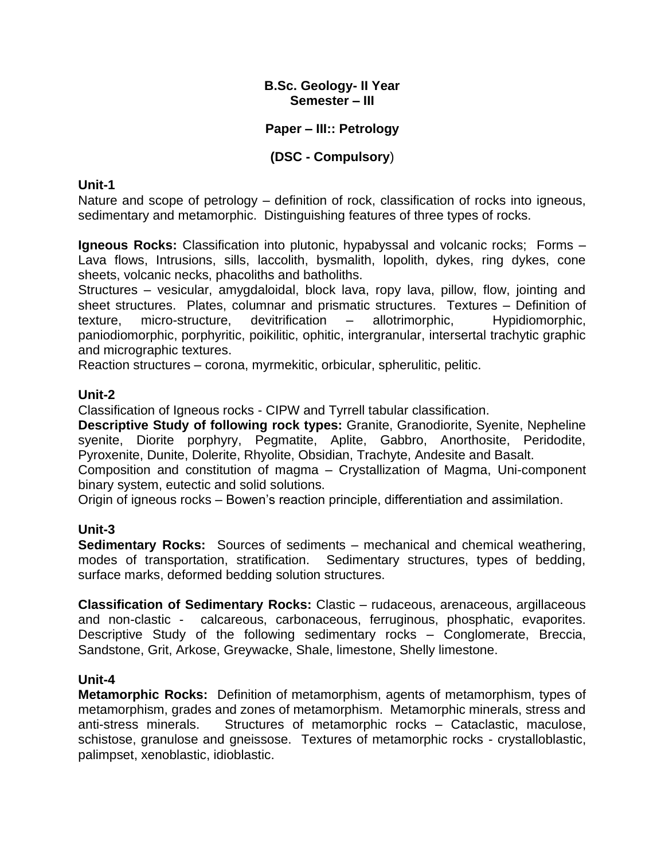## **Paper – III:: Petrology**

## **(DSC - Compulsory**)

## **Unit-1**

Nature and scope of petrology – definition of rock, classification of rocks into igneous, sedimentary and metamorphic. Distinguishing features of three types of rocks.

**Igneous Rocks:** Classification into plutonic, hypabyssal and volcanic rocks; Forms – Lava flows, Intrusions, sills, laccolith, bysmalith, lopolith, dykes, ring dykes, cone sheets, volcanic necks, phacoliths and batholiths.

Structures – vesicular, amygdaloidal, block lava, ropy lava, pillow, flow, jointing and sheet structures. Plates, columnar and prismatic structures. Textures – Definition of texture, micro-structure, devitrification – allotrimorphic, Hypidiomorphic, paniodiomorphic, porphyritic, poikilitic, ophitic, intergranular, intersertal trachytic graphic and micrographic textures.

Reaction structures – corona, myrmekitic, orbicular, spherulitic, pelitic.

## **Unit-2**

Classification of Igneous rocks - CIPW and Tyrrell tabular classification.

**Descriptive Study of following rock types:** Granite, Granodiorite, Syenite, Nepheline syenite, Diorite porphyry, Pegmatite, Aplite, Gabbro, Anorthosite, Peridodite, Pyroxenite, Dunite, Dolerite, Rhyolite, Obsidian, Trachyte, Andesite and Basalt.

Composition and constitution of magma – Crystallization of Magma, Uni-component binary system, eutectic and solid solutions.

Origin of igneous rocks – Bowen's reaction principle, differentiation and assimilation.

## **Unit-3**

**Sedimentary Rocks:** Sources of sediments – mechanical and chemical weathering, modes of transportation, stratification. Sedimentary structures, types of bedding, surface marks, deformed bedding solution structures.

**Classification of Sedimentary Rocks:** Clastic – rudaceous, arenaceous, argillaceous and non-clastic - calcareous, carbonaceous, ferruginous, phosphatic, evaporites. Descriptive Study of the following sedimentary rocks – Conglomerate, Breccia, Sandstone, Grit, Arkose, Greywacke, Shale, limestone, Shelly limestone.

## **Unit-4**

**Metamorphic Rocks:** Definition of metamorphism, agents of metamorphism, types of metamorphism, grades and zones of metamorphism. Metamorphic minerals, stress and anti-stress minerals. Structures of metamorphic rocks – Cataclastic, maculose, schistose, granulose and gneissose. Textures of metamorphic rocks - crystalloblastic, palimpset, xenoblastic, idioblastic.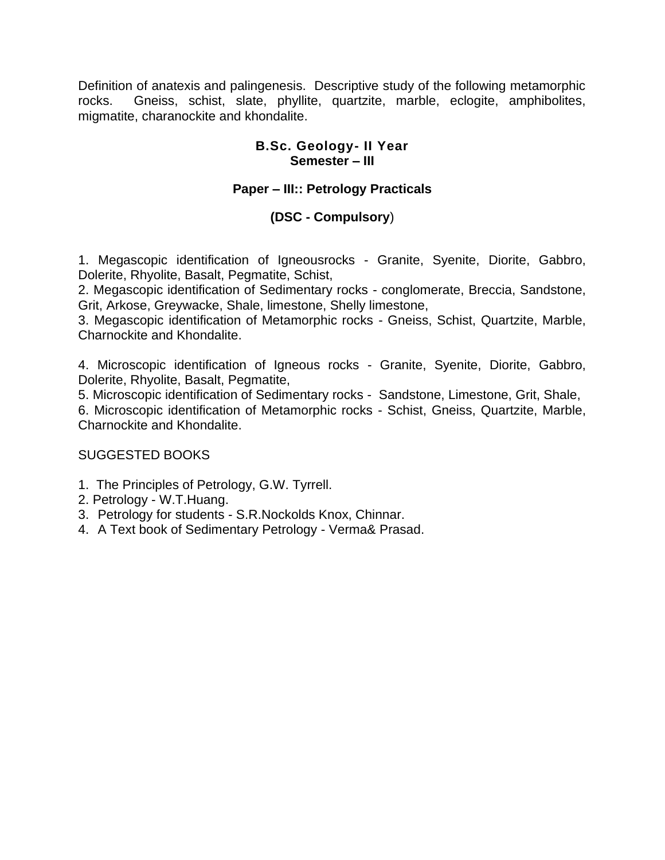Definition of anatexis and palingenesis. Descriptive study of the following metamorphic rocks. Gneiss, schist, slate, phyllite, quartzite, marble, eclogite, amphibolites, migmatite, charanockite and khondalite.

## **B.Sc. Geology- II Year Semester – III**

## **Paper – III:: Petrology Practicals**

## **(DSC - Compulsory**)

1. Megascopic identification of Igneousrocks - Granite, Syenite, Diorite, Gabbro, Dolerite, Rhyolite, Basalt, Pegmatite, Schist,

2. Megascopic identification of Sedimentary rocks - conglomerate, Breccia, Sandstone, Grit, Arkose, Greywacke, Shale, limestone, Shelly limestone,

3. Megascopic identification of Metamorphic rocks - Gneiss, Schist, Quartzite, Marble, Charnockite and Khondalite.

4. Microscopic identification of Igneous rocks - Granite, Syenite, Diorite, Gabbro, Dolerite, Rhyolite, Basalt, Pegmatite,

5. Microscopic identification of Sedimentary rocks - Sandstone, Limestone, Grit, Shale,

6. Microscopic identification of Metamorphic rocks - Schist, Gneiss, Quartzite, Marble, Charnockite and Khondalite.

- 1. The Principles of Petrology, G.W. Tyrrell.
- 2. Petrology W.T.Huang.
- 3. Petrology for students S.R.Nockolds Knox, Chinnar.
- 4. A Text book of Sedimentary Petrology Verma& Prasad.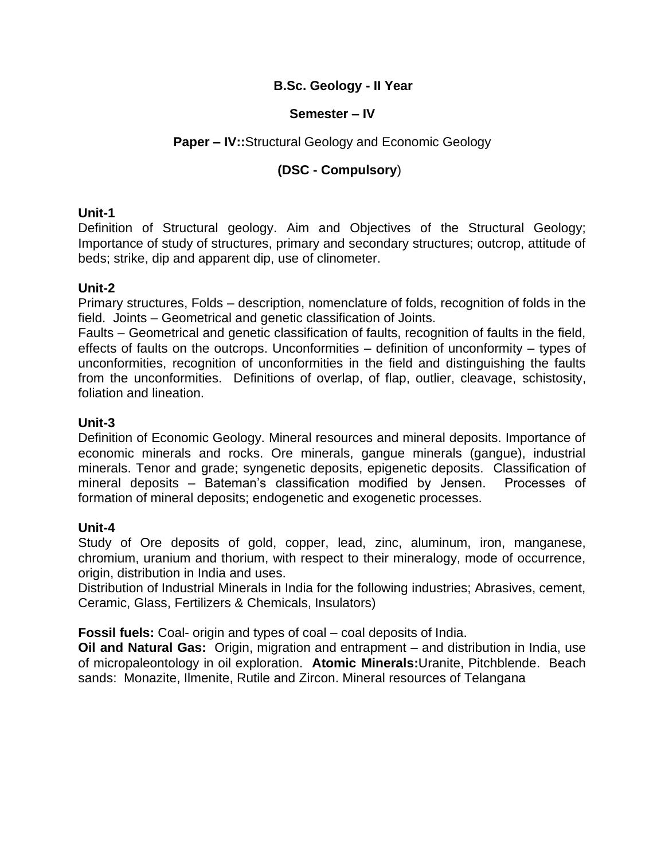## **B.Sc. Geology - II Year**

## **Semester – IV**

## **Paper – IV::**Structural Geology and Economic Geology

## **(DSC - Compulsory**)

## **Unit-1**

Definition of Structural geology. Aim and Objectives of the Structural Geology; Importance of study of structures, primary and secondary structures; outcrop, attitude of beds; strike, dip and apparent dip, use of clinometer.

## **Unit-2**

Primary structures, Folds – description, nomenclature of folds, recognition of folds in the field. Joints – Geometrical and genetic classification of Joints.

Faults – Geometrical and genetic classification of faults, recognition of faults in the field, effects of faults on the outcrops. Unconformities – definition of unconformity – types of unconformities, recognition of unconformities in the field and distinguishing the faults from the unconformities. Definitions of overlap, of flap, outlier, cleavage, schistosity, foliation and lineation.

## **Unit-3**

Definition of Economic Geology. Mineral resources and mineral deposits. Importance of economic minerals and rocks. Ore minerals, gangue minerals (gangue), industrial minerals. Tenor and grade; syngenetic deposits, epigenetic deposits. Classification of mineral deposits – Bateman's classification modified by Jensen. Processes of formation of mineral deposits; endogenetic and exogenetic processes.

## **Unit-4**

Study of Ore deposits of gold, copper, lead, zinc, aluminum, iron, manganese, chromium, uranium and thorium, with respect to their mineralogy, mode of occurrence, origin, distribution in India and uses.

Distribution of Industrial Minerals in India for the following industries; Abrasives, cement, Ceramic, Glass, Fertilizers & Chemicals, Insulators)

**Fossil fuels:** Coal- origin and types of coal – coal deposits of India.

**Oil and Natural Gas:** Origin, migration and entrapment – and distribution in India, use of micropaleontology in oil exploration. **Atomic Minerals:**Uranite, Pitchblende. Beach sands: Monazite, Ilmenite, Rutile and Zircon. Mineral resources of Telangana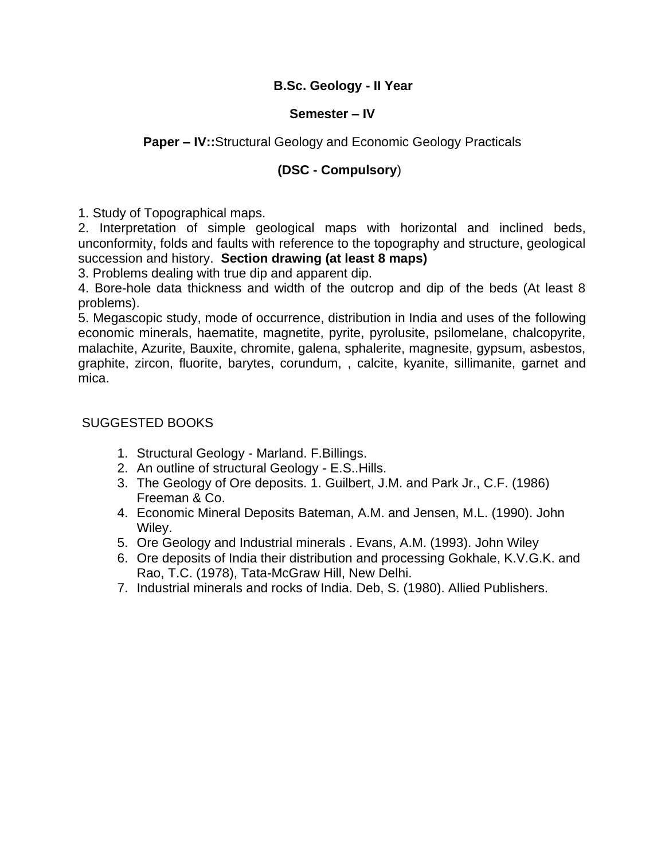## **B.Sc. Geology - II Year**

### **Semester – IV**

## **Paper – IV::**Structural Geology and Economic Geology Practicals

## **(DSC - Compulsory**)

1. Study of Topographical maps.

2. Interpretation of simple geological maps with horizontal and inclined beds, unconformity, folds and faults with reference to the topography and structure, geological succession and history. **Section drawing (at least 8 maps)**

3. Problems dealing with true dip and apparent dip.

4. Bore-hole data thickness and width of the outcrop and dip of the beds (At least 8 problems).

5. Megascopic study, mode of occurrence, distribution in India and uses of the following economic minerals, haematite, magnetite, pyrite, pyrolusite, psilomelane, chalcopyrite, malachite, Azurite, Bauxite, chromite, galena, sphalerite, magnesite, gypsum, asbestos, graphite, zircon, fluorite, barytes, corundum, , calcite, kyanite, sillimanite, garnet and mica.

- 1. Structural Geology Marland. F.Billings.
- 2. An outline of structural Geology E.S..Hills.
- 3. The Geology of Ore deposits. 1. Guilbert, J.M. and Park Jr., C.F. (1986) Freeman & Co.
- 4. Economic Mineral Deposits Bateman, A.M. and Jensen, M.L. (1990). John Wiley.
- 5. Ore Geology and Industrial minerals . Evans, A.M. (1993). John Wiley
- 6. Ore deposits of India their distribution and processing Gokhale, K.V.G.K. and Rao, T.C. (1978), Tata-McGraw Hill, New Delhi.
- 7. Industrial minerals and rocks of India. Deb, S. (1980). Allied Publishers.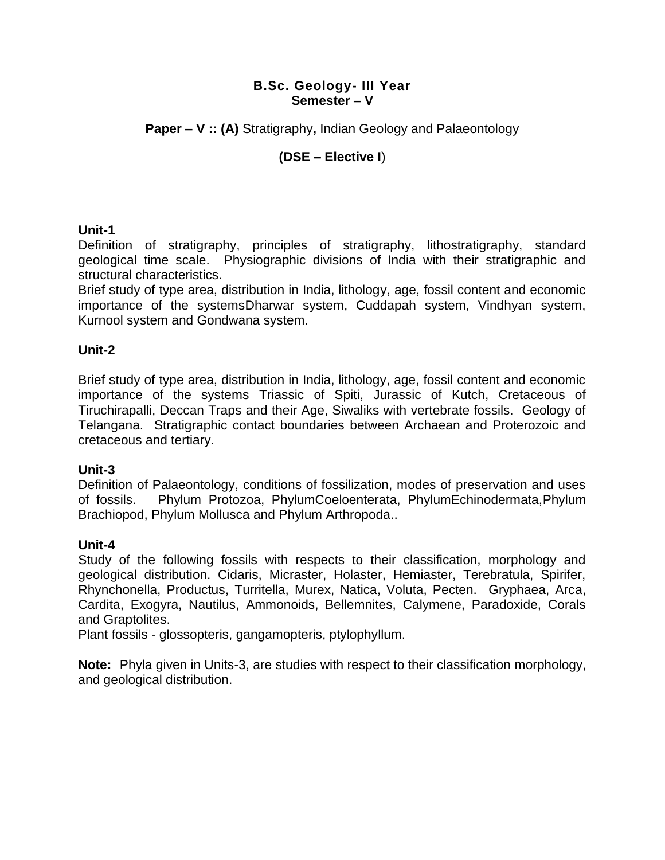**Paper – V :: (A)** Stratigraphy**,** Indian Geology and Palaeontology

## **(DSE – Elective I**)

## **Unit-1**

Definition of stratigraphy, principles of stratigraphy, lithostratigraphy, standard geological time scale. Physiographic divisions of India with their stratigraphic and structural characteristics.

Brief study of type area, distribution in India, lithology, age, fossil content and economic importance of the systemsDharwar system, Cuddapah system, Vindhyan system, Kurnool system and Gondwana system.

## **Unit-2**

Brief study of type area, distribution in India, lithology, age, fossil content and economic importance of the systems Triassic of Spiti, Jurassic of Kutch, Cretaceous of Tiruchirapalli, Deccan Traps and their Age, Siwaliks with vertebrate fossils. Geology of Telangana. Stratigraphic contact boundaries between Archaean and Proterozoic and cretaceous and tertiary.

## **Unit-3**

Definition of Palaeontology, conditions of fossilization, modes of preservation and uses of fossils. Phylum Protozoa, PhylumCoeloenterata, PhylumEchinodermata,Phylum Brachiopod, Phylum Mollusca and Phylum Arthropoda..

#### **Unit-4**

Study of the following fossils with respects to their classification, morphology and geological distribution. Cidaris, Micraster, Holaster, Hemiaster, Terebratula, Spirifer, Rhynchonella, Productus, Turritella, Murex, Natica, Voluta, Pecten. Gryphaea, Arca, Cardita, Exogyra, Nautilus, Ammonoids, Bellemnites, Calymene, Paradoxide, Corals and Graptolites.

Plant fossils - glossopteris, gangamopteris, ptylophyllum.

**Note:** Phyla given in Units-3, are studies with respect to their classification morphology, and geological distribution.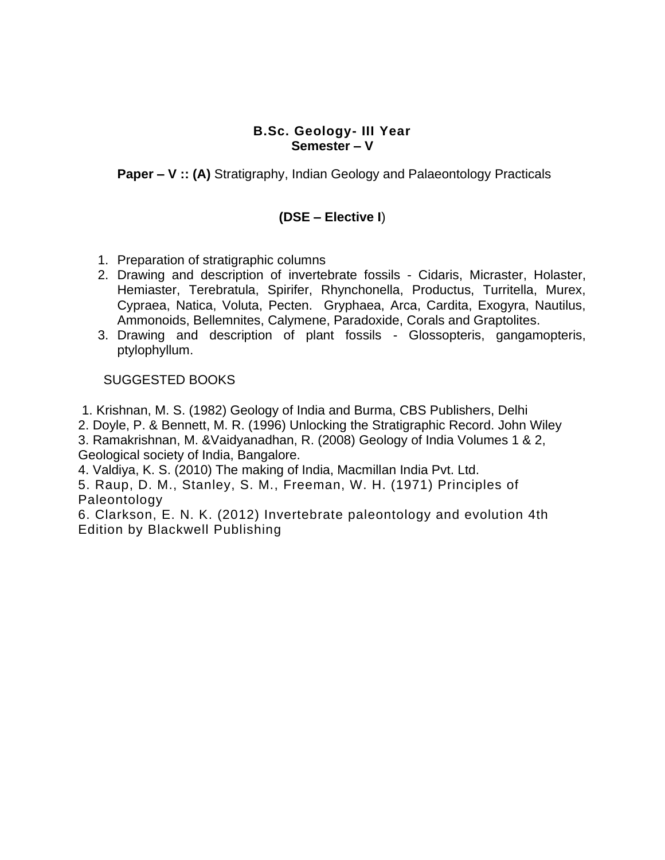**Paper – V :: (A)** Stratigraphy, Indian Geology and Palaeontology Practicals

## **(DSE – Elective I**)

- 1. Preparation of stratigraphic columns
- 2. Drawing and description of invertebrate fossils Cidaris, Micraster, Holaster, Hemiaster, Terebratula, Spirifer, Rhynchonella, Productus, Turritella, Murex, Cypraea, Natica, Voluta, Pecten. Gryphaea, Arca, Cardita, Exogyra, Nautilus, Ammonoids, Bellemnites, Calymene, Paradoxide, Corals and Graptolites.
- 3. Drawing and description of plant fossils Glossopteris, gangamopteris, ptylophyllum.

### SUGGESTED BOOKS

1. Krishnan, M. S. (1982) Geology of India and Burma, CBS Publishers, Delhi

2. Doyle, P. & Bennett, M. R. (1996) Unlocking the Stratigraphic Record. John Wiley

3. Ramakrishnan, M. &Vaidyanadhan, R. (2008) Geology of India Volumes 1 & 2, Geological society of India, Bangalore.

4. Valdiya, K. S. (2010) The making of India, Macmillan India Pvt. Ltd.

5. Raup, D. M., Stanley, S. M., Freeman, W. H. (1971) Principles of Paleontology

6. Clarkson, E. N. K. (2012) Invertebrate paleontology and evolution 4th Edition by Blackwell Publishing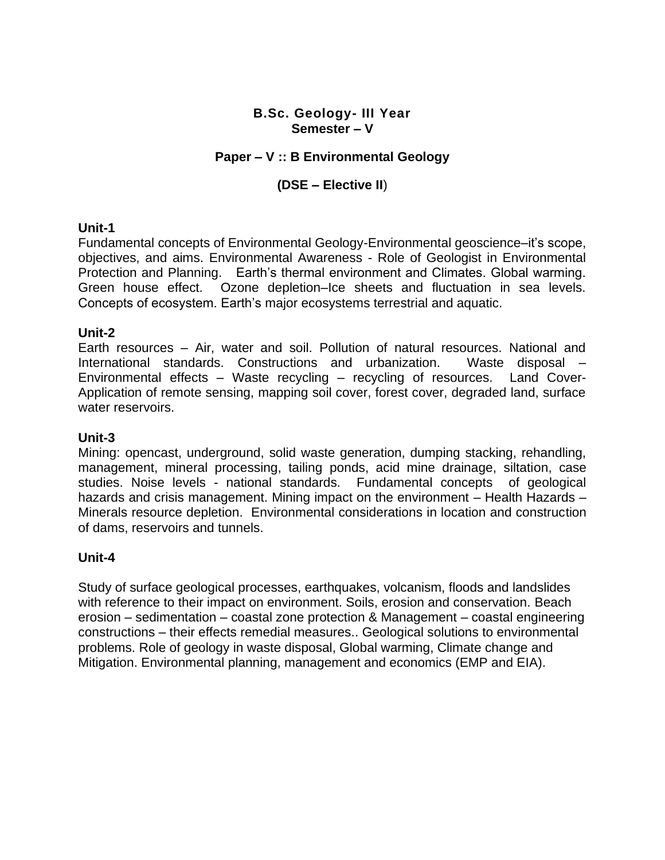## **Paper – V :: B Environmental Geology**

## **(DSE – Elective II**)

#### **Unit-1**

Fundamental concepts of Environmental Geology-Environmental geoscience–it's scope, objectives, and aims. Environmental Awareness - Role of Geologist in Environmental Protection and Planning. Earth's thermal environment and Climates. Global warming. Green house effect. Ozone depletion–Ice sheets and fluctuation in sea levels. Concepts of ecosystem. Earth's major ecosystems terrestrial and aquatic.

#### **Unit-2**

Earth resources – Air, water and soil. Pollution of natural resources. National and International standards. Constructions and urbanization. Waste disposal – Environmental effects – Waste recycling – recycling of resources. Land Cover-Application of remote sensing, mapping soil cover, forest cover, degraded land, surface water reservoirs.

#### **Unit-3**

Mining: opencast, underground, solid waste generation, dumping stacking, rehandling, management, mineral processing, tailing ponds, acid mine drainage, siltation, case studies. Noise levels - national standards. Fundamental concepts of geological hazards and crisis management. Mining impact on the environment – Health Hazards – Minerals resource depletion. Environmental considerations in location and construction of dams, reservoirs and tunnels.

#### **Unit-4**

Study of surface geological processes, earthquakes, volcanism, floods and landslides with reference to their impact on environment. Soils, erosion and conservation. Beach erosion – sedimentation – coastal zone protection & Management – coastal engineering constructions – their effects remedial measures.. Geological solutions to environmental problems. Role of geology in waste disposal, Global warming, Climate change and Mitigation. Environmental planning, management and economics (EMP and EIA).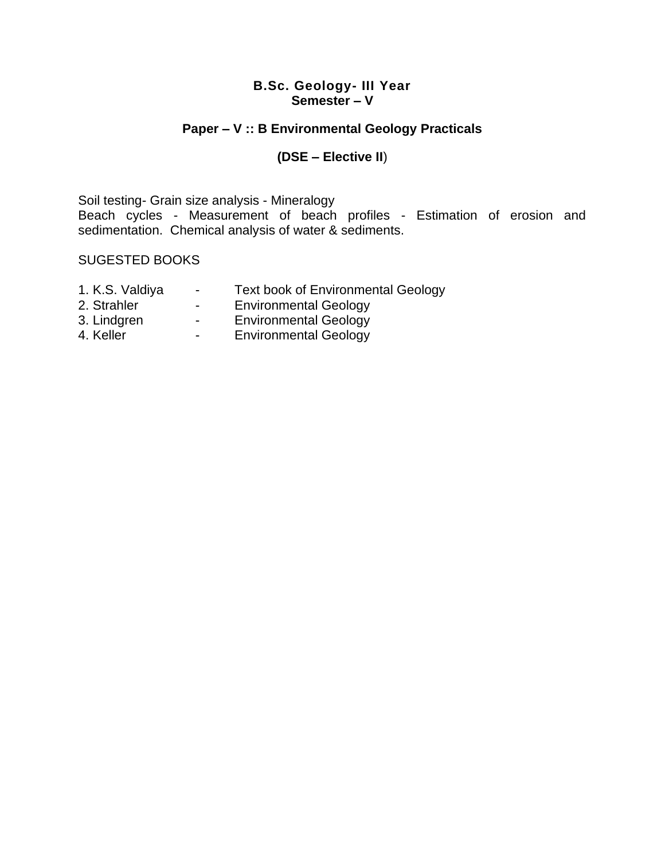## **Paper – V :: B Environmental Geology Practicals**

## **(DSE – Elective II**)

Soil testing- Grain size analysis - Mineralogy Beach cycles - Measurement of beach profiles - Estimation of erosion and sedimentation. Chemical analysis of water & sediments.

- 1. K.S. Valdiya Text book of Environmental Geology
- 2. Strahler  **Environmental Geology**
- 3. Lindgren Environmental Geology
- 4. Keller The Christ Commental Geology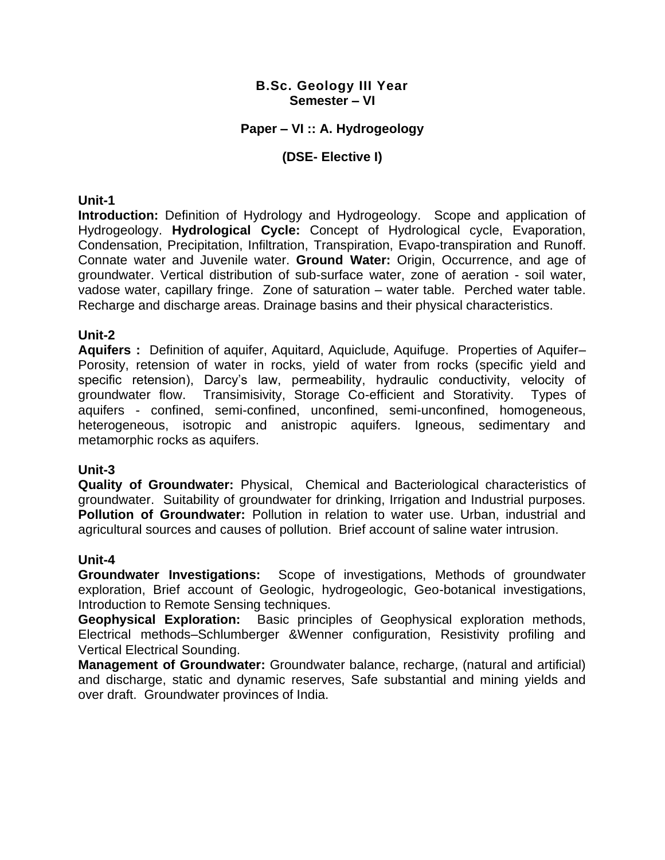## **Paper – VI :: A. Hydrogeology**

## **(DSE- Elective I)**

### **Unit-1**

**Introduction:** Definition of Hydrology and Hydrogeology. Scope and application of Hydrogeology. **Hydrological Cycle:** Concept of Hydrological cycle, Evaporation, Condensation, Precipitation, Infiltration, Transpiration, Evapo-transpiration and Runoff. Connate water and Juvenile water. **Ground Water:** Origin, Occurrence, and age of groundwater. Vertical distribution of sub-surface water, zone of aeration - soil water, vadose water, capillary fringe. Zone of saturation – water table. Perched water table. Recharge and discharge areas. Drainage basins and their physical characteristics.

### **Unit-2**

**Aquifers :** Definition of aquifer, Aquitard, Aquiclude, Aquifuge. Properties of Aquifer– Porosity, retension of water in rocks, yield of water from rocks (specific yield and specific retension), Darcy's law, permeability, hydraulic conductivity, velocity of groundwater flow. Transimisivity, Storage Co-efficient and Storativity. Types of aquifers - confined, semi-confined, unconfined, semi-unconfined, homogeneous, heterogeneous, isotropic and anistropic aquifers. Igneous, sedimentary and metamorphic rocks as aquifers.

## **Unit-3**

**Quality of Groundwater:** Physical, Chemical and Bacteriological characteristics of groundwater. Suitability of groundwater for drinking, Irrigation and Industrial purposes. **Pollution of Groundwater:** Pollution in relation to water use. Urban, industrial and agricultural sources and causes of pollution. Brief account of saline water intrusion.

#### **Unit-4**

**Groundwater Investigations:** Scope of investigations, Methods of groundwater exploration, Brief account of Geologic, hydrogeologic, Geo-botanical investigations, Introduction to Remote Sensing techniques.

**Geophysical Exploration:** Basic principles of Geophysical exploration methods, Electrical methods–Schlumberger &Wenner configuration, Resistivity profiling and Vertical Electrical Sounding.

**Management of Groundwater:** Groundwater balance, recharge, (natural and artificial) and discharge, static and dynamic reserves, Safe substantial and mining yields and over draft. Groundwater provinces of India.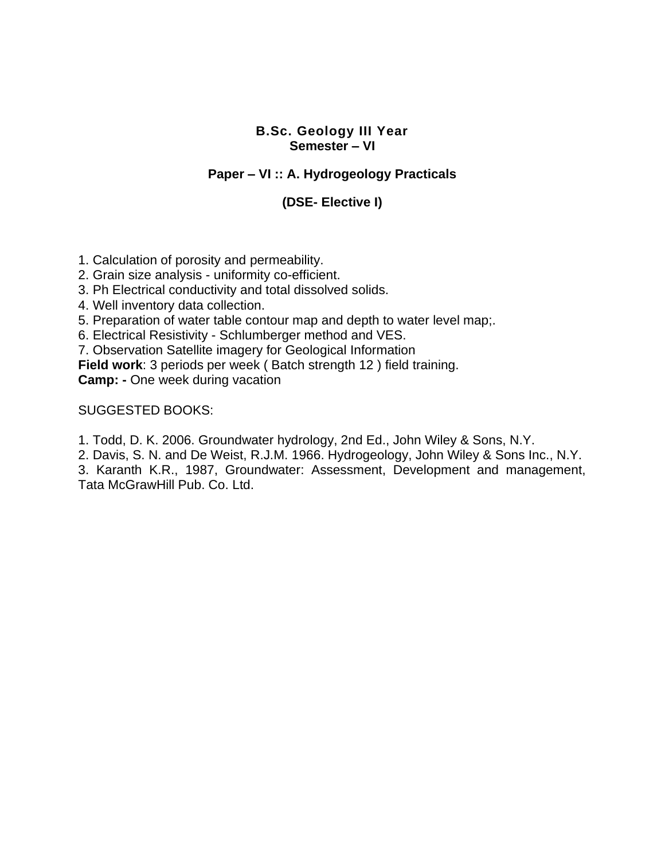## **Paper – VI :: A. Hydrogeology Practicals**

## **(DSE- Elective I)**

1. Calculation of porosity and permeability.

2. Grain size analysis - uniformity co-efficient.

3. Ph Electrical conductivity and total dissolved solids.

4. Well inventory data collection.

5. Preparation of water table contour map and depth to water level map;.

6. Electrical Resistivity - Schlumberger method and VES.

7. Observation Satellite imagery for Geological Information

**Field work**: 3 periods per week ( Batch strength 12 ) field training.

**Camp: -** One week during vacation

SUGGESTED BOOKS:

1. Todd, D. K. 2006. Groundwater hydrology, 2nd Ed., John Wiley & Sons, N.Y.

2. Davis, S. N. and De Weist, R.J.M. 1966. Hydrogeology, John Wiley & Sons Inc., N.Y.

3. Karanth K.R., 1987, Groundwater: Assessment, Development and management, Tata McGrawHill Pub. Co. Ltd.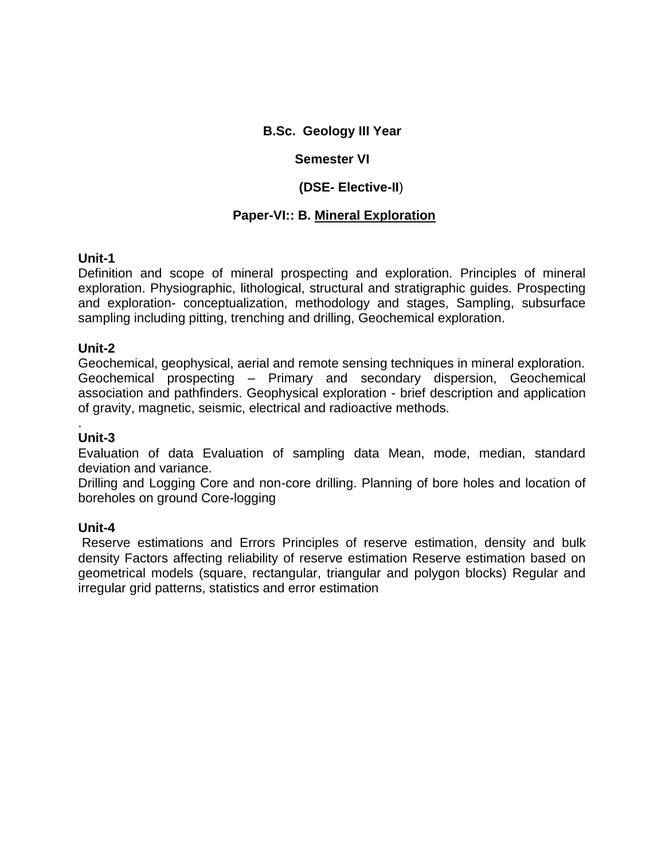## **B.Sc. Geology III Year**

## **Semester VI**

## **(DSE- Elective-II**)

## **Paper-VI:: B. Mineral Exploration**

## **Unit-1**

Definition and scope of mineral prospecting and exploration. Principles of mineral exploration. Physiographic, lithological, structural and stratigraphic guides. Prospecting and exploration- conceptualization, methodology and stages, Sampling, subsurface sampling including pitting, trenching and drilling, Geochemical exploration.

## **Unit-2**

Geochemical, geophysical, aerial and remote sensing techniques in mineral exploration. Geochemical prospecting – Primary and secondary dispersion, Geochemical association and pathfinders. Geophysical exploration - brief description and application of gravity, magnetic, seismic, electrical and radioactive methods.

#### . **Unit-3**

Evaluation of data Evaluation of sampling data Mean, mode, median, standard deviation and variance.

Drilling and Logging Core and non-core drilling. Planning of bore holes and location of boreholes on ground Core-logging

## **Unit-4**

Reserve estimations and Errors Principles of reserve estimation, density and bulk density Factors affecting reliability of reserve estimation Reserve estimation based on geometrical models (square, rectangular, triangular and polygon blocks) Regular and irregular grid patterns, statistics and error estimation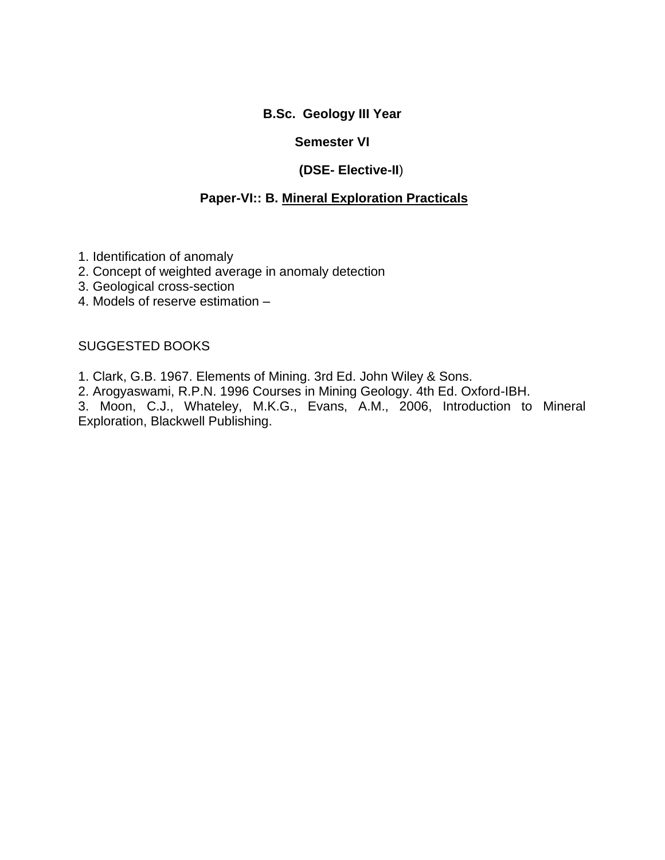## **B.Sc. Geology III Year**

## **Semester VI**

## **(DSE- Elective-II**)

## **Paper-VI:: B. Mineral Exploration Practicals**

- 1. Identification of anomaly
- 2. Concept of weighted average in anomaly detection
- 3. Geological cross-section
- 4. Models of reserve estimation –

### SUGGESTED BOOKS

- 1. Clark, G.B. 1967. Elements of Mining. 3rd Ed. John Wiley & Sons.
- 2. Arogyaswami, R.P.N. 1996 Courses in Mining Geology. 4th Ed. Oxford-IBH.

3. Moon, C.J., Whateley, M.K.G., Evans, A.M., 2006, Introduction to Mineral Exploration, Blackwell Publishing.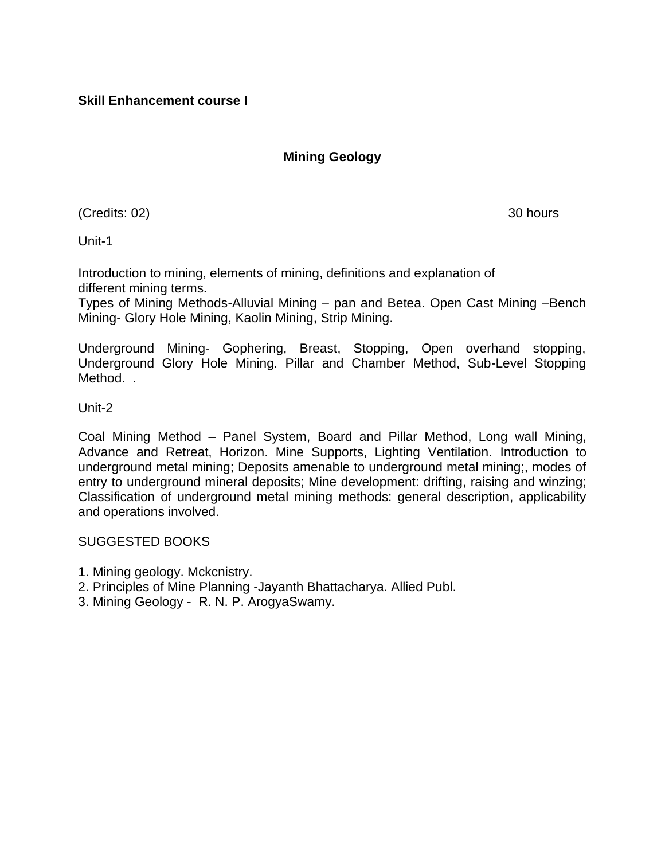## **Mining Geology**

(Credits: 02) 30 hours

Unit-1

Introduction to mining, elements of mining, definitions and explanation of different mining terms.

Types of Mining Methods-Alluvial Mining – pan and Betea. Open Cast Mining –Bench Mining- Glory Hole Mining, Kaolin Mining, Strip Mining.

Underground Mining- Gophering, Breast, Stopping, Open overhand stopping, Underground Glory Hole Mining. Pillar and Chamber Method, Sub-Level Stopping Method. .

Unit-2

Coal Mining Method – Panel System, Board and Pillar Method, Long wall Mining, Advance and Retreat, Horizon. Mine Supports, Lighting Ventilation. Introduction to underground metal mining; Deposits amenable to underground metal mining;, modes of entry to underground mineral deposits; Mine development: drifting, raising and winzing; Classification of underground metal mining methods: general description, applicability and operations involved.

- 1. Mining geology. Mckcnistry.
- 2. Principles of Mine Planning -Jayanth Bhattacharya. Allied Publ.
- 3. Mining Geology R. N. P. ArogyaSwamy.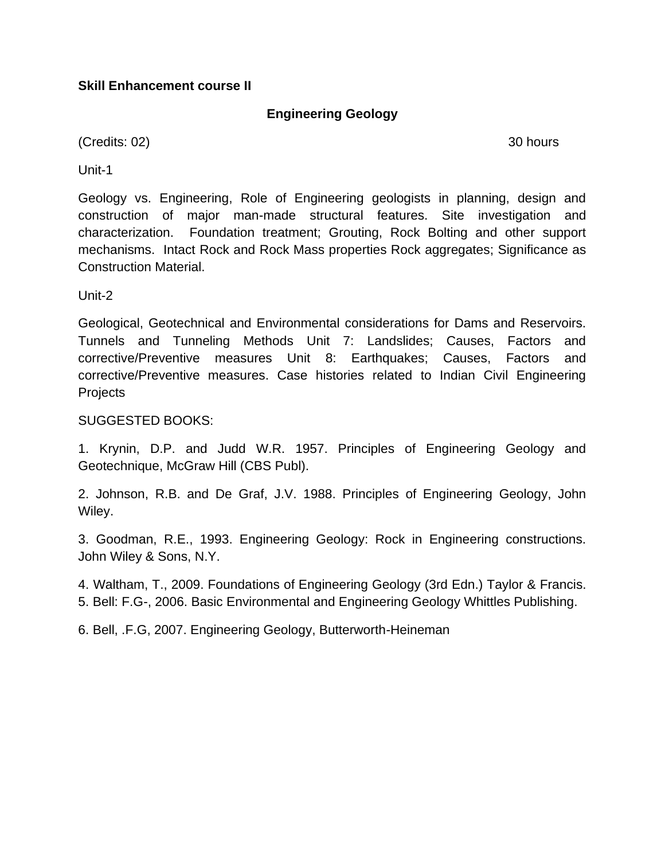## **Skill Enhancement course II**

## **Engineering Geology**

(Credits: 02) 30 hours

Unit-1

Geology vs. Engineering, Role of Engineering geologists in planning, design and construction of major man-made structural features. Site investigation and characterization. Foundation treatment; Grouting, Rock Bolting and other support mechanisms. Intact Rock and Rock Mass properties Rock aggregates; Significance as Construction Material.

Unit-2

Geological, Geotechnical and Environmental considerations for Dams and Reservoirs. Tunnels and Tunneling Methods Unit 7: Landslides; Causes, Factors and corrective/Preventive measures Unit 8: Earthquakes; Causes, Factors and corrective/Preventive measures. Case histories related to Indian Civil Engineering **Projects** 

## SUGGESTED BOOKS:

1. Krynin, D.P. and Judd W.R. 1957. Principles of Engineering Geology and Geotechnique, McGraw Hill (CBS Publ).

2. Johnson, R.B. and De Graf, J.V. 1988. Principles of Engineering Geology, John Wiley.

3. Goodman, R.E., 1993. Engineering Geology: Rock in Engineering constructions. John Wiley & Sons, N.Y.

4. Waltham, T., 2009. Foundations of Engineering Geology (3rd Edn.) Taylor & Francis. 5. Bell: F.G-, 2006. Basic Environmental and Engineering Geology Whittles Publishing.

6. Bell, .F.G, 2007. Engineering Geology, Butterworth-Heineman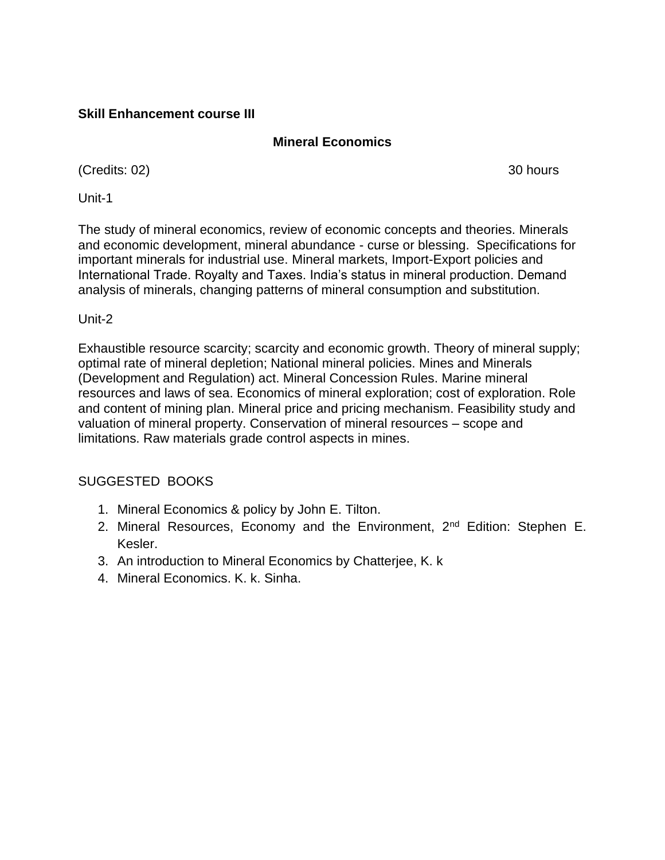## **Skill Enhancement course III**

## **Mineral Economics**

(Credits: 02) 30 hours

Unit-1

The study of mineral economics, review of economic concepts and theories. Minerals and economic development, mineral abundance - curse or blessing. Specifications for important minerals for industrial use. Mineral markets, Import-Export policies and International Trade. Royalty and Taxes. India's status in mineral production. Demand analysis of minerals, changing patterns of mineral consumption and substitution.

Unit-2

Exhaustible resource scarcity; scarcity and economic growth. Theory of mineral supply; optimal rate of mineral depletion; National mineral policies. Mines and Minerals (Development and Regulation) act. Mineral Concession Rules. Marine mineral resources and laws of sea. Economics of mineral exploration; cost of exploration. Role and content of mining plan. Mineral price and pricing mechanism. Feasibility study and valuation of mineral property. Conservation of mineral resources – scope and limitations. Raw materials grade control aspects in mines.

- 1. Mineral Economics & policy by John E. Tilton.
- 2. Mineral Resources, Economy and the Environment, 2<sup>nd</sup> Edition: Stephen E. Kesler.
- 3. An introduction to Mineral Economics by Chatterjee, K. k
- 4. Mineral Economics. K. k. Sinha.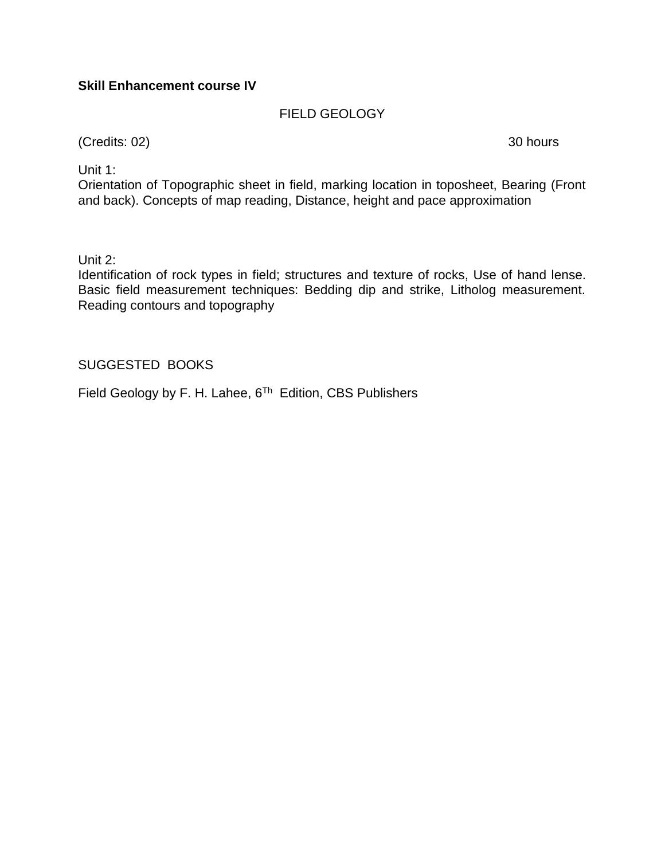## **Skill Enhancement course IV**

## FIELD GEOLOGY

(Credits: 02) 30 hours

Unit 1:

Orientation of Topographic sheet in field, marking location in toposheet, Bearing (Front and back). Concepts of map reading, Distance, height and pace approximation

Unit 2:

Identification of rock types in field; structures and texture of rocks, Use of hand lense. Basic field measurement techniques: Bedding dip and strike, Litholog measurement. Reading contours and topography

## SUGGESTED BOOKS

Field Geology by F. H. Lahee, 6<sup>Th</sup> Edition, CBS Publishers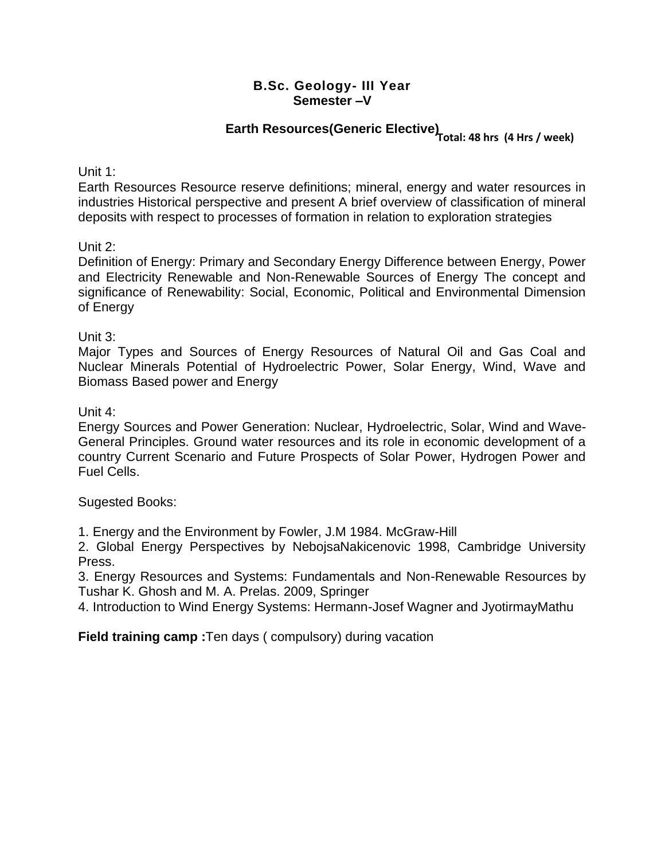# **Earth Resources(Generic Elective) Total: 48 hrs (4 Hrs / week)**

Unit 1:

Earth Resources Resource reserve definitions; mineral, energy and water resources in industries Historical perspective and present A brief overview of classification of mineral deposits with respect to processes of formation in relation to exploration strategies

Unit 2:

Definition of Energy: Primary and Secondary Energy Difference between Energy, Power and Electricity Renewable and Non-Renewable Sources of Energy The concept and significance of Renewability: Social, Economic, Political and Environmental Dimension of Energy

Unit 3:

Major Types and Sources of Energy Resources of Natural Oil and Gas Coal and Nuclear Minerals Potential of Hydroelectric Power, Solar Energy, Wind, Wave and Biomass Based power and Energy

Unit 4:

Energy Sources and Power Generation: Nuclear, Hydroelectric, Solar, Wind and Wave-General Principles. Ground water resources and its role in economic development of a country Current Scenario and Future Prospects of Solar Power, Hydrogen Power and Fuel Cells.

Sugested Books:

1. Energy and the Environment by Fowler, J.M 1984. McGraw-Hill

2. Global Energy Perspectives by NebojsaNakicenovic 1998, Cambridge University Press.

3. Energy Resources and Systems: Fundamentals and Non-Renewable Resources by Tushar K. Ghosh and M. A. Prelas. 2009, Springer

4. Introduction to Wind Energy Systems: Hermann-Josef Wagner and JyotirmayMathu

**Field training camp :**Ten days ( compulsory) during vacation